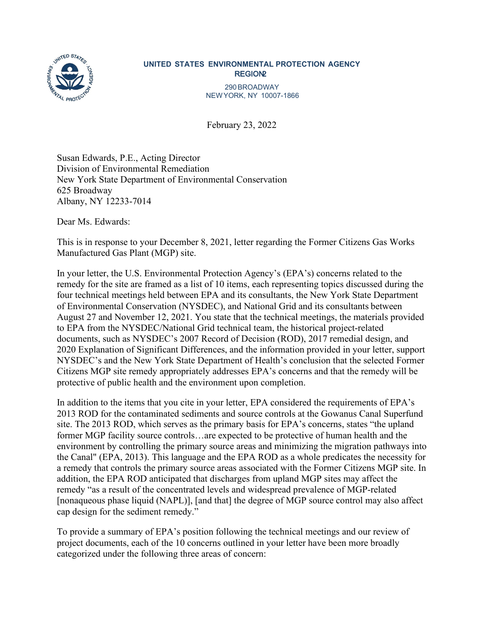

## **UNITED STATES ENVIRONMENTAL PROTECTION AGENCY REGION2**

290BROADWAY NEWYORK, NY 10007-1866

February 23, 2022

Susan Edwards, P.E., Acting Director Division of Environmental Remediation New York State Department of Environmental Conservation 625 Broadway Albany, NY 12233-7014

Dear Ms. Edwards:

This is in response to your December 8, 2021, letter regarding the Former Citizens Gas Works Manufactured Gas Plant (MGP) site.

In your letter, the U.S. Environmental Protection Agency's (EPA's) concerns related to the remedy for the site are framed as a list of 10 items, each representing topics discussed during the four technical meetings held between EPA and its consultants, the New York State Department of Environmental Conservation (NYSDEC), and National Grid and its consultants between August 27 and November 12, 2021. You state that the technical meetings, the materials provided to EPA from the NYSDEC/National Grid technical team, the historical project-related documents, such as NYSDEC's 2007 Record of Decision (ROD), 2017 remedial design, and 2020 Explanation of Significant Differences, and the information provided in your letter, support NYSDEC's and the New York State Department of Health's conclusion that the selected Former Citizens MGP site remedy appropriately addresses EPA's concerns and that the remedy will be protective of public health and the environment upon completion.

In addition to the items that you cite in your letter, EPA considered the requirements of EPA's 2013 ROD for the contaminated sediments and source controls at the Gowanus Canal Superfund site. The 2013 ROD, which serves as the primary basis for EPA's concerns, states "the upland former MGP facility source controls…are expected to be protective of human health and the environment by controlling the primary source areas and minimizing the migration pathways into the Canal" (EPA, 2013). This language and the EPA ROD as a whole predicates the necessity for a remedy that controls the primary source areas associated with the Former Citizens MGP site. In addition, the EPA ROD anticipated that discharges from upland MGP sites may affect the remedy "as a result of the concentrated levels and widespread prevalence of MGP-related [nonaqueous phase liquid (NAPL)], [and that] the degree of MGP source control may also affect cap design for the sediment remedy."

To provide a summary of EPA's position following the technical meetings and our review of project documents, each of the 10 concerns outlined in your letter have been more broadly categorized under the following three areas of concern: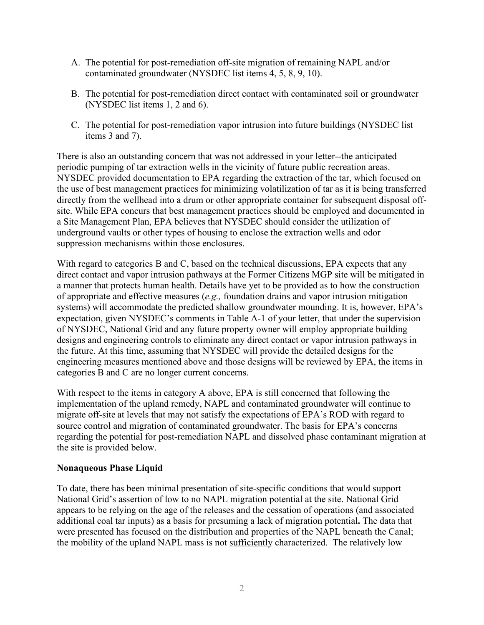- A. The potential for post-remediation off-site migration of remaining NAPL and/or contaminated groundwater (NYSDEC list items 4, 5, 8, 9, 10).
- B. The potential for post-remediation direct contact with contaminated soil or groundwater (NYSDEC list items 1, 2 and 6).
- C. The potential for post-remediation vapor intrusion into future buildings (NYSDEC list items 3 and 7).

There is also an outstanding concern that was not addressed in your letter--the anticipated periodic pumping of tar extraction wells in the vicinity of future public recreation areas. NYSDEC provided documentation to EPA regarding the extraction of the tar, which focused on the use of best management practices for minimizing volatilization of tar as it is being transferred directly from the wellhead into a drum or other appropriate container for subsequent disposal offsite. While EPA concurs that best management practices should be employed and documented in a Site Management Plan, EPA believes that NYSDEC should consider the utilization of underground vaults or other types of housing to enclose the extraction wells and odor suppression mechanisms within those enclosures.

With regard to categories B and C, based on the technical discussions, EPA expects that any direct contact and vapor intrusion pathways at the Former Citizens MGP site will be mitigated in a manner that protects human health. Details have yet to be provided as to how the construction of appropriate and effective measures (*e.g.,* foundation drains and vapor intrusion mitigation systems) will accommodate the predicted shallow groundwater mounding. It is, however, EPA's expectation, given NYSDEC's comments in Table A-1 of your letter, that under the supervision of NYSDEC, National Grid and any future property owner will employ appropriate building designs and engineering controls to eliminate any direct contact or vapor intrusion pathways in the future. At this time, assuming that NYSDEC will provide the detailed designs for the engineering measures mentioned above and those designs will be reviewed by EPA, the items in categories B and C are no longer current concerns.

With respect to the items in category A above, EPA is still concerned that following the implementation of the upland remedy, NAPL and contaminated groundwater will continue to migrate off-site at levels that may not satisfy the expectations of EPA's ROD with regard to source control and migration of contaminated groundwater. The basis for EPA's concerns regarding the potential for post-remediation NAPL and dissolved phase contaminant migration at the site is provided below.

## **Nonaqueous Phase Liquid**

To date, there has been minimal presentation of site-specific conditions that would support National Grid's assertion of low to no NAPL migration potential at the site. National Grid appears to be relying on the age of the releases and the cessation of operations (and associated additional coal tar inputs) as a basis for presuming a lack of migration potential**.** The data that were presented has focused on the distribution and properties of the NAPL beneath the Canal; the mobility of the upland NAPL mass is not sufficiently characterized. The relatively low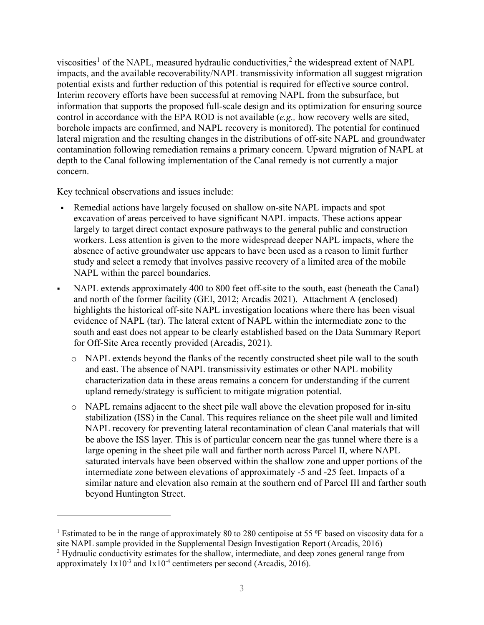viscosities<sup>[1](#page-2-0)</sup> of the NAPL, measured hydraulic conductivities,<sup>[2](#page-2-1)</sup> the widespread extent of NAPL impacts, and the available recoverability/NAPL transmissivity information all suggest migration potential exists and further reduction of this potential is required for effective source control. Interim recovery efforts have been successful at removing NAPL from the subsurface, but information that supports the proposed full-scale design and its optimization for ensuring source control in accordance with the EPA ROD is not available (*e.g.,* how recovery wells are sited, borehole impacts are confirmed, and NAPL recovery is monitored). The potential for continued lateral migration and the resulting changes in the distributions of off-site NAPL and groundwater contamination following remediation remains a primary concern. Upward migration of NAPL at depth to the Canal following implementation of the Canal remedy is not currently a major concern.

Key technical observations and issues include:

- Remedial actions have largely focused on shallow on-site NAPL impacts and spot excavation of areas perceived to have significant NAPL impacts. These actions appear largely to target direct contact exposure pathways to the general public and construction workers. Less attention is given to the more widespread deeper NAPL impacts, where the absence of active groundwater use appears to have been used as a reason to limit further study and select a remedy that involves passive recovery of a limited area of the mobile NAPL within the parcel boundaries.
- NAPL extends approximately 400 to 800 feet off-site to the south, east (beneath the Canal) and north of the former facility (GEI, 2012; Arcadis 2021). Attachment A (enclosed) highlights the historical off-site NAPL investigation locations where there has been visual evidence of NAPL (tar). The lateral extent of NAPL within the intermediate zone to the south and east does not appear to be clearly established based on the Data Summary Report for Off-Site Area recently provided (Arcadis, 2021).
	- o NAPL extends beyond the flanks of the recently constructed sheet pile wall to the south and east. The absence of NAPL transmissivity estimates or other NAPL mobility characterization data in these areas remains a concern for understanding if the current upland remedy/strategy is sufficient to mitigate migration potential.
	- o NAPL remains adjacent to the sheet pile wall above the elevation proposed for in-situ stabilization (ISS) in the Canal. This requires reliance on the sheet pile wall and limited NAPL recovery for preventing lateral recontamination of clean Canal materials that will be above the ISS layer. This is of particular concern near the gas tunnel where there is a large opening in the sheet pile wall and farther north across Parcel II, where NAPL saturated intervals have been observed within the shallow zone and upper portions of the intermediate zone between elevations of approximately -5 and -25 feet. Impacts of a similar nature and elevation also remain at the southern end of Parcel III and farther south beyond Huntington Street.

<span id="page-2-0"></span><sup>&</sup>lt;sup>1</sup> Estimated to be in the range of approximately 80 to 280 centipoise at 55  $\degree$ F based on viscosity data for a site NAPL sample provided in the Supplemental Design Investigation Report (Arcadis, 2016)

<span id="page-2-1"></span><sup>&</sup>lt;sup>2</sup> Hydraulic conductivity estimates for the shallow, intermediate, and deep zones general range from approximately  $1x10^{-3}$  and  $1x10^{-4}$  centimeters per second (Arcadis, 2016).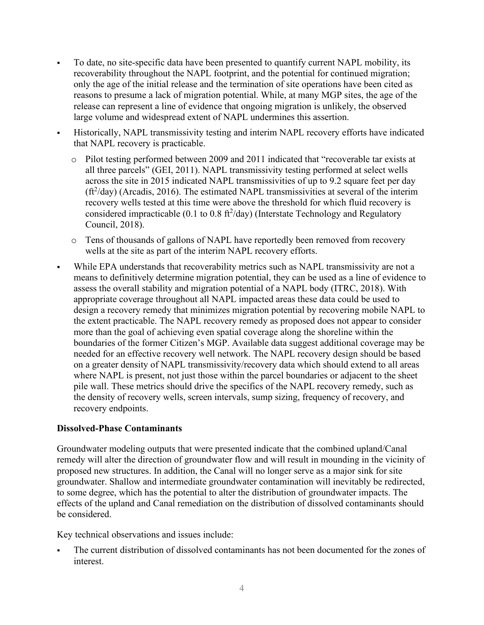- To date, no site-specific data have been presented to quantify current NAPL mobility, its recoverability throughout the NAPL footprint, and the potential for continued migration; only the age of the initial release and the termination of site operations have been cited as reasons to presume a lack of migration potential. While, at many MGP sites, the age of the release can represent a line of evidence that ongoing migration is unlikely, the observed large volume and widespread extent of NAPL undermines this assertion.
- Historically, NAPL transmissivity testing and interim NAPL recovery efforts have indicated that NAPL recovery is practicable.
	- o Pilot testing performed between 2009 and 2011 indicated that "recoverable tar exists at all three parcels" (GEI, 2011). NAPL transmissivity testing performed at select wells across the site in 2015 indicated NAPL transmissivities of up to 9.2 square feet per day  $(\text{ft}^2/\text{day})$  (Arcadis, 2016). The estimated NAPL transmissivities at several of the interim recovery wells tested at this time were above the threshold for which fluid recovery is considered impracticable (0.1 to 0.8  $\text{ft}^2/\text{day}$ ) (Interstate Technology and Regulatory Council, 2018).
	- o Tens of thousands of gallons of NAPL have reportedly been removed from recovery wells at the site as part of the interim NAPL recovery efforts.
- While EPA understands that recoverability metrics such as NAPL transmissivity are not a means to definitively determine migration potential, they can be used as a line of evidence to assess the overall stability and migration potential of a NAPL body (ITRC, 2018). With appropriate coverage throughout all NAPL impacted areas these data could be used to design a recovery remedy that minimizes migration potential by recovering mobile NAPL to the extent practicable. The NAPL recovery remedy as proposed does not appear to consider more than the goal of achieving even spatial coverage along the shoreline within the boundaries of the former Citizen's MGP. Available data suggest additional coverage may be needed for an effective recovery well network. The NAPL recovery design should be based on a greater density of NAPL transmissivity/recovery data which should extend to all areas where NAPL is present, not just those within the parcel boundaries or adjacent to the sheet pile wall. These metrics should drive the specifics of the NAPL recovery remedy, such as the density of recovery wells, screen intervals, sump sizing, frequency of recovery, and recovery endpoints.

## **Dissolved-Phase Contaminants**

Groundwater modeling outputs that were presented indicate that the combined upland/Canal remedy will alter the direction of groundwater flow and will result in mounding in the vicinity of proposed new structures. In addition, the Canal will no longer serve as a major sink for site groundwater. Shallow and intermediate groundwater contamination will inevitably be redirected, to some degree, which has the potential to alter the distribution of groundwater impacts. The effects of the upland and Canal remediation on the distribution of dissolved contaminants should be considered.

Key technical observations and issues include:

 The current distribution of dissolved contaminants has not been documented for the zones of interest.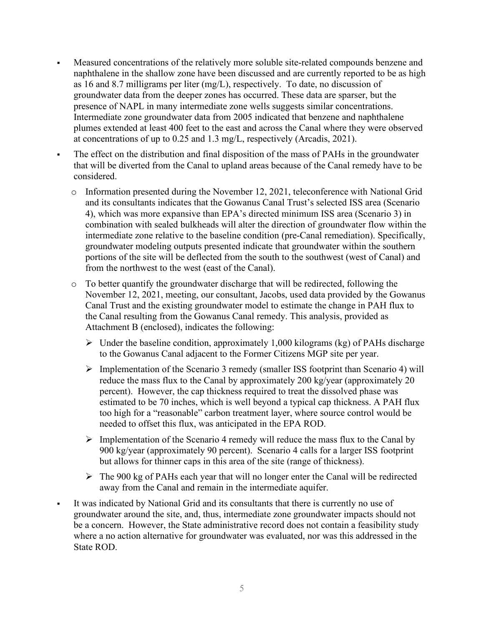- Measured concentrations of the relatively more soluble site-related compounds benzene and naphthalene in the shallow zone have been discussed and are currently reported to be as high as 16 and 8.7 milligrams per liter (mg/L), respectively. To date, no discussion of groundwater data from the deeper zones has occurred. These data are sparser, but the presence of NAPL in many intermediate zone wells suggests similar concentrations. Intermediate zone groundwater data from 2005 indicated that benzene and naphthalene plumes extended at least 400 feet to the east and across the Canal where they were observed at concentrations of up to 0.25 and 1.3 mg/L, respectively (Arcadis, 2021).
	- The effect on the distribution and final disposition of the mass of PAHs in the groundwater that will be diverted from the Canal to upland areas because of the Canal remedy have to be considered.
		- $\circ$  Information presented during the November 12, 2021, teleconference with National Grid and its consultants indicates that the Gowanus Canal Trust's selected ISS area (Scenario 4), which was more expansive than EPA's directed minimum ISS area (Scenario 3) in combination with sealed bulkheads will alter the direction of groundwater flow within the intermediate zone relative to the baseline condition (pre-Canal remediation). Specifically, groundwater modeling outputs presented indicate that groundwater within the southern portions of the site will be deflected from the south to the southwest (west of Canal) and from the northwest to the west (east of the Canal).
		- o To better quantify the groundwater discharge that will be redirected, following the November 12, 2021, meeting, our consultant, Jacobs, used data provided by the Gowanus Canal Trust and the existing groundwater model to estimate the change in PAH flux to the Canal resulting from the Gowanus Canal remedy. This analysis, provided as Attachment B (enclosed), indicates the following:
			- $\triangleright$  Under the baseline condition, approximately 1,000 kilograms (kg) of PAHs discharge to the Gowanus Canal adjacent to the Former Citizens MGP site per year.
			- $\triangleright$  Implementation of the Scenario 3 remedy (smaller ISS footprint than Scenario 4) will reduce the mass flux to the Canal by approximately 200 kg/year (approximately 20 percent). However, the cap thickness required to treat the dissolved phase was estimated to be 70 inches, which is well beyond a typical cap thickness. A PAH flux too high for a "reasonable" carbon treatment layer, where source control would be needed to offset this flux, was anticipated in the EPA ROD.
			- $\triangleright$  Implementation of the Scenario 4 remedy will reduce the mass flux to the Canal by 900 kg/year (approximately 90 percent). Scenario 4 calls for a larger ISS footprint but allows for thinner caps in this area of the site (range of thickness).
			- $\triangleright$  The 900 kg of PAHs each year that will no longer enter the Canal will be redirected away from the Canal and remain in the intermediate aquifer.
- It was indicated by National Grid and its consultants that there is currently no use of groundwater around the site, and, thus, intermediate zone groundwater impacts should not be a concern. However, the State administrative record does not contain a feasibility study where a no action alternative for groundwater was evaluated, nor was this addressed in the State ROD.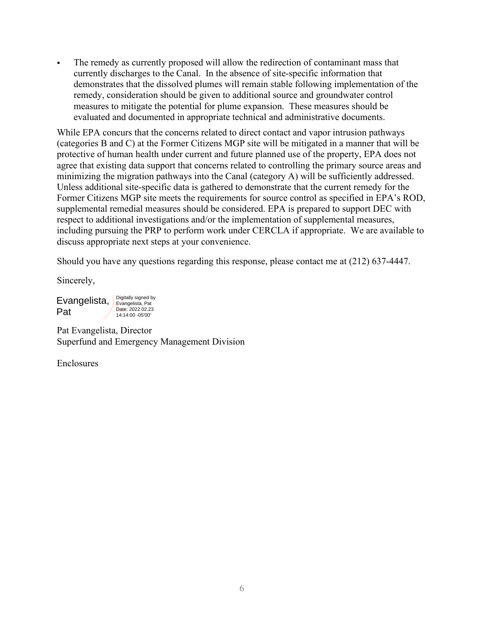The remedy as currently proposed will allow the redirection of contaminant mass that currently discharges to the Canal. In the absence of site-specific information that demonstrates that the dissolved plumes will remain stable following implementation of the remedy, consideration should be given to additional source and groundwater control measures to mitigate the potential for plume expansion. These measures should be evaluated and documented in appropriate technical and administrative documents.

While EPA concurs that the concerns related to direct contact and vapor intrusion pathways (categories B and C) at the Former Citizens MGP site will be mitigated in a manner that will be protective of human health under current and future planned use of the property, EPA does not agree that existing data support that concerns related to controlling the primary source areas and minimizing the migration pathways into the Canal (category A) will be sufficiently addressed. Unless additional site-specific data is gathered to demonstrate that the current remedy for the Former Citizens MGP site meets the requirements for source control as specified in EPA's ROD, supplemental remedial measures should be considered. EPA is prepared to support DEC with respect to additional investigations and/or the implementation of supplemental measures, including pursuing the PRP to perform work under CERCLA if appropriate. We are available to discuss appropriate next steps at your convenience.

Should you have any questions regarding this response, please contact me at (212) 637-4447.

Sincerely,

Evangelista, Pat Digitally signed by Evangelista, Pat Date: 2022.02.23 14:14:00 -05'00'

Pat Evangelista, Director Superfund and Emergency Management Division

Enclosures